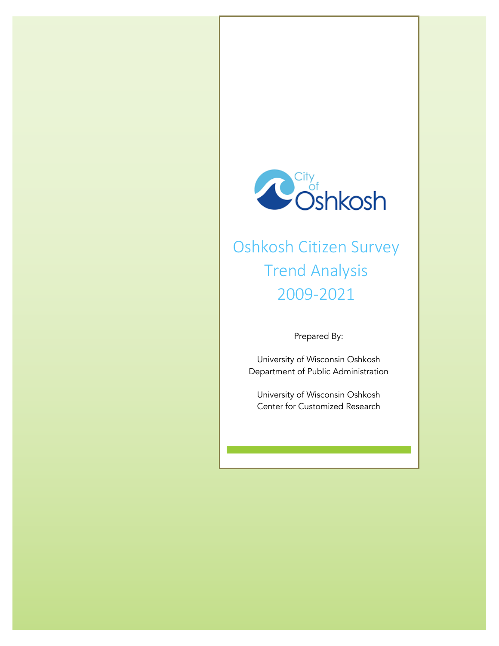

# Oshkosh Citizen Survey Trend Analysis 2009-2021

Prepared By:

University of Wisconsin Oshkosh Department of Public Administration

University of Wisconsin Oshkosh Center for Customized Research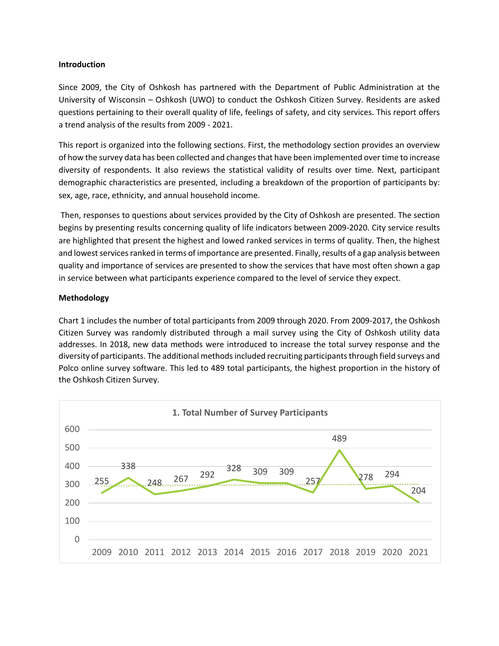#### **Introduction**

Since 2009, the City of Oshkosh has partnered with the Department of Public Administration at the University of Wisconsin – Oshkosh (UWO) to conduct the Oshkosh Citizen Survey. Residents are asked questions pertaining to their overall quality of life, feelings of safety, and city services. This report offers a trend analysis of the results from 2009 - 2021.

This report is organized into the following sections. First, the methodology section provides an overview of how the survey data has been collected and changes that have been implemented over time to increase diversity of respondents. It also reviews the statistical validity of results over time. Next, participant demographic characteristics are presented, including a breakdown of the proportion of participants by: sex, age, race, ethnicity, and annual household income.

Then, responses to questions about services provided by the City of Oshkosh are presented. The section begins by presenting results concerning quality of life indicators between 2009-2020. City service results are highlighted that present the highest and lowed ranked services in terms of quality. Then, the highest and lowest services ranked in terms of importance are presented. Finally, results of a gap analysis between quality and importance of services are presented to show the services that have most often shown a gap in service between what participants experience compared to the level of service they expect.

### **Methodology**

Chart 1 includes the number of total participants from 2009 through 2020. From 2009-2017, the Oshkosh Citizen Survey was randomly distributed through a mail survey using the City of Oshkosh utility data addresses. In 2018, new data methods were introduced to increase the total survey response and the diversity of participants. The additional methods included recruiting participants through field surveys and Polco online survey software. This led to 489 total participants, the highest proportion in the history of the Oshkosh Citizen Survey.

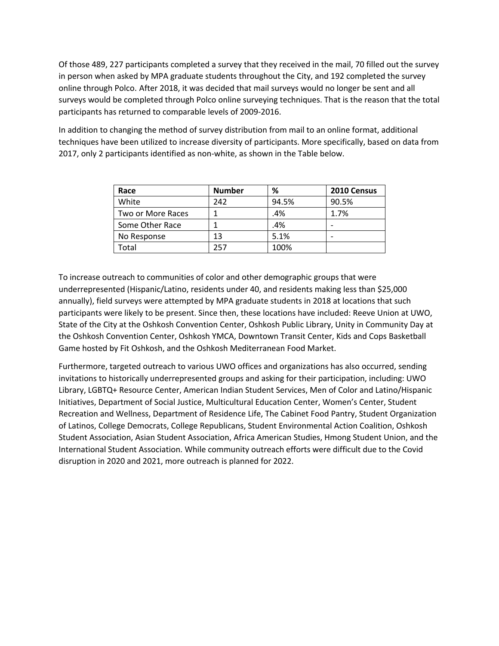Of those 489, 227 participants completed a survey that they received in the mail, 70 filled out the survey in person when asked by MPA graduate students throughout the City, and 192 completed the survey online through Polco. After 2018, it was decided that mail surveys would no longer be sent and all surveys would be completed through Polco online surveying techniques. That is the reason that the total participants has returned to comparable levels of 2009-2016.

In addition to changing the method of survey distribution from mail to an online format, additional techniques have been utilized to increase diversity of participants. More specifically, based on data from 2017, only 2 participants identified as non-white, as shown in the Table below.

| Race              | <b>Number</b> | %     | 2010 Census |
|-------------------|---------------|-------|-------------|
| White             | 242           | 94.5% | 90.5%       |
| Two or More Races |               | .4%   | 1.7%        |
| Some Other Race   |               | .4%   |             |
| No Response       | 13            | 5.1%  |             |
| Total             | 257           | 100%  |             |

To increase outreach to communities of color and other demographic groups that were underrepresented (Hispanic/Latino, residents under 40, and residents making less than \$25,000 annually), field surveys were attempted by MPA graduate students in 2018 at locations that such participants were likely to be present. Since then, these locations have included: Reeve Union at UWO, State of the City at the Oshkosh Convention Center, Oshkosh Public Library, Unity in Community Day at the Oshkosh Convention Center, Oshkosh YMCA, Downtown Transit Center, Kids and Cops Basketball Game hosted by Fit Oshkosh, and the Oshkosh Mediterranean Food Market.

Furthermore, targeted outreach to various UWO offices and organizations has also occurred, sending invitations to historically underrepresented groups and asking for their participation, including: UWO Library, LGBTQ+ Resource Center, American Indian Student Services, Men of Color and Latino/Hispanic Initiatives, Department of Social Justice, Multicultural Education Center, Women's Center, Student Recreation and Wellness, Department of Residence Life, The Cabinet Food Pantry, Student Organization of Latinos, College Democrats, College Republicans, Student Environmental Action Coalition, Oshkosh Student Association, Asian Student Association, Africa American Studies, Hmong Student Union, and the International Student Association. While community outreach efforts were difficult due to the Covid disruption in 2020 and 2021, more outreach is planned for 2022.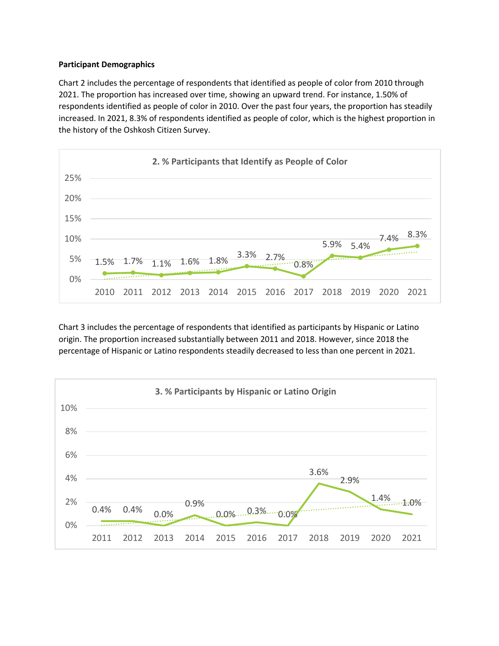### **Participant Demographics**

Chart 2 includes the percentage of respondents that identified as people of color from 2010 through 2021. The proportion has increased over time, showing an upward trend. For instance, 1.50% of respondents identified as people of color in 2010. Over the past four years, the proportion has steadily increased. In 2021, 8.3% of respondents identified as people of color, which is the highest proportion in the history of the Oshkosh Citizen Survey.



Chart 3 includes the percentage of respondents that identified as participants by Hispanic or Latino origin. The proportion increased substantially between 2011 and 2018. However, since 2018 the percentage of Hispanic or Latino respondents steadily decreased to less than one percent in 2021.

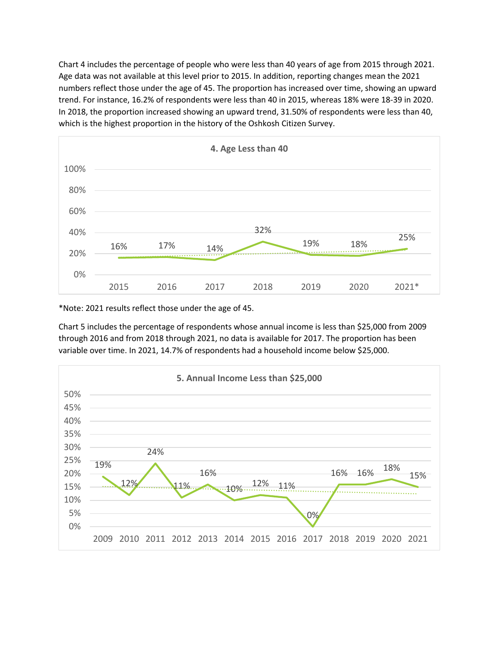Chart 4 includes the percentage of people who were less than 40 years of age from 2015 through 2021. Age data was not available at this level prior to 2015. In addition, reporting changes mean the 2021 numbers reflect those under the age of 45. The proportion has increased over time, showing an upward trend. For instance, 16.2% of respondents were less than 40 in 2015, whereas 18% were 18-39 in 2020. In 2018, the proportion increased showing an upward trend, 31.50% of respondents were less than 40, which is the highest proportion in the history of the Oshkosh Citizen Survey.



\*Note: 2021 results reflect those under the age of 45.

Chart 5 includes the percentage of respondents whose annual income is less than \$25,000 from 2009 through 2016 and from 2018 through 2021, no data is available for 2017. The proportion has been variable over time. In 2021, 14.7% of respondents had a household income below \$25,000.

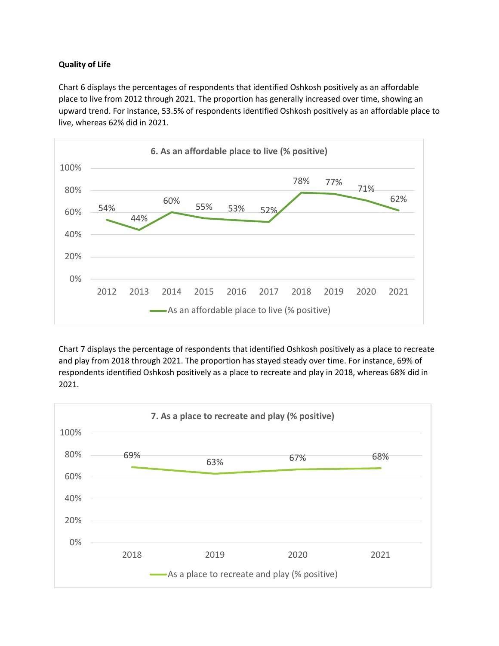## **Quality of Life**

Chart 6 displays the percentages of respondents that identified Oshkosh positively as an affordable place to live from 2012 through 2021. The proportion has generally increased over time, showing an upward trend. For instance, 53.5% of respondents identified Oshkosh positively as an affordable place to live, whereas 62% did in 2021.



Chart 7 displays the percentage of respondents that identified Oshkosh positively as a place to recreate and play from 2018 through 2021. The proportion has stayed steady over time. For instance, 69% of respondents identified Oshkosh positively as a place to recreate and play in 2018, whereas 68% did in 2021.

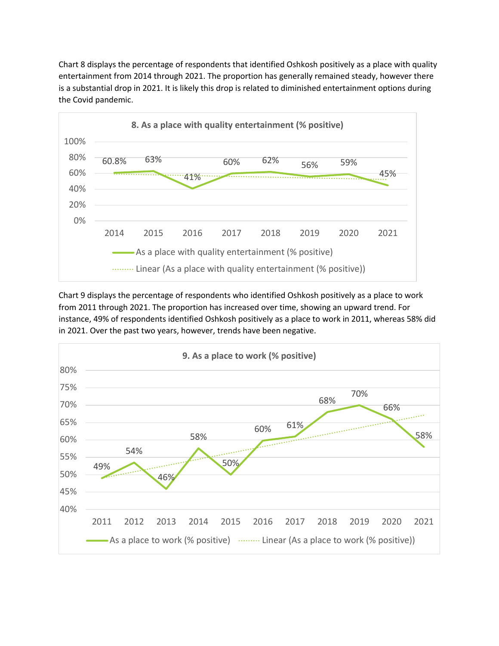Chart 8 displays the percentage of respondents that identified Oshkosh positively as a place with quality entertainment from 2014 through 2021. The proportion has generally remained steady, however there is a substantial drop in 2021. It is likely this drop is related to diminished entertainment options during the Covid pandemic.



Chart 9 displays the percentage of respondents who identified Oshkosh positively as a place to work from 2011 through 2021. The proportion has increased over time, showing an upward trend. For instance, 49% of respondents identified Oshkosh positively as a place to work in 2011, whereas 58% did in 2021. Over the past two years, however, trends have been negative.

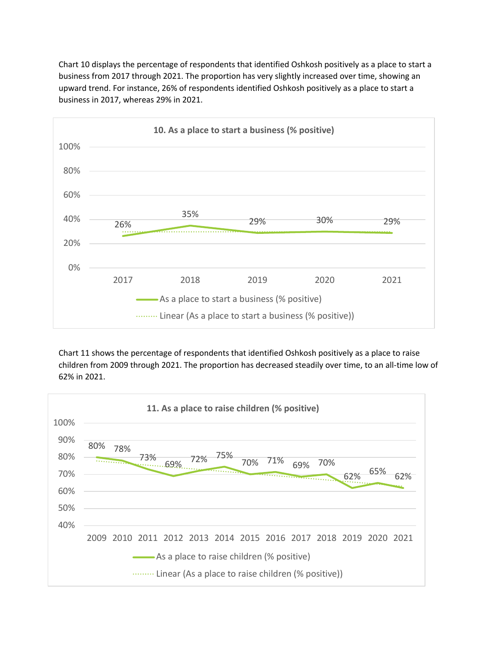Chart 10 displays the percentage of respondents that identified Oshkosh positively as a place to start a business from 2017 through 2021. The proportion has very slightly increased over time, showing an upward trend. For instance, 26% of respondents identified Oshkosh positively as a place to start a business in 2017, whereas 29% in 2021.



Chart 11 shows the percentage of respondents that identified Oshkosh positively as a place to raise children from 2009 through 2021. The proportion has decreased steadily over time, to an all-time low of 62% in 2021.

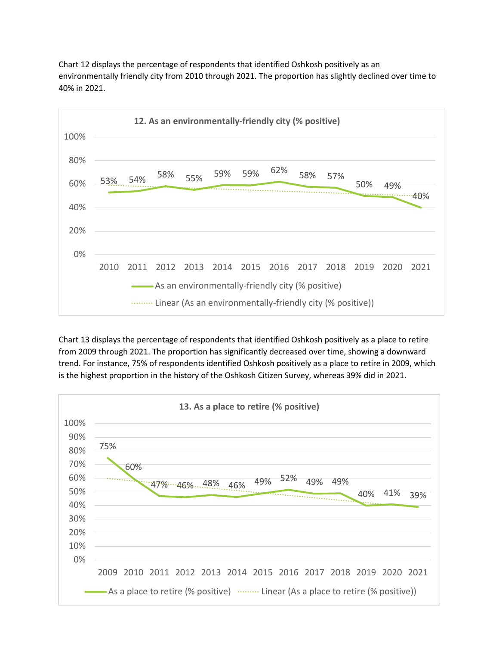

Chart 12 displays the percentage of respondents that identified Oshkosh positively as an environmentally friendly city from 2010 through 2021. The proportion has slightly declined over time to 40% in 2021.

Chart 13 displays the percentage of respondents that identified Oshkosh positively as a place to retire from 2009 through 2021. The proportion has significantly decreased over time, showing a downward trend. For instance, 75% of respondents identified Oshkosh positively as a place to retire in 2009, which is the highest proportion in the history of the Oshkosh Citizen Survey, whereas 39% did in 2021.